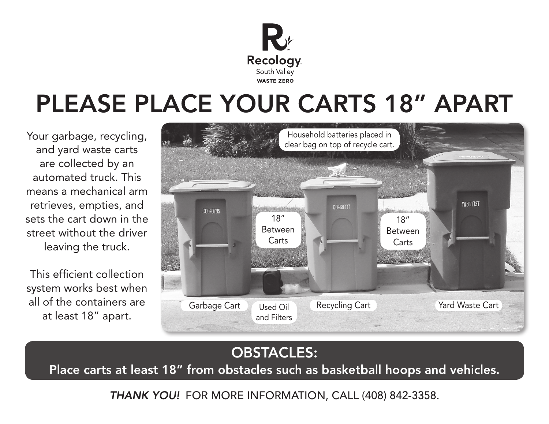

## PLEASE PLACE YOUR CARTS 18" APART

Your garbage, recycling, and yard waste carts are collected by an automated truck. This means a mechanical arm retrieves, empties, and sets the cart down in the street without the driver leaving the truck.

This efficient collection system works best when all of the containers are at least 18" apart.



## OBSTACLES:

Place carts at least 18" from obstacles such as basketball hoops and vehicles.

*THANK YOU!* FOR MORE INFORMATION, CALL (408) 842-3358.